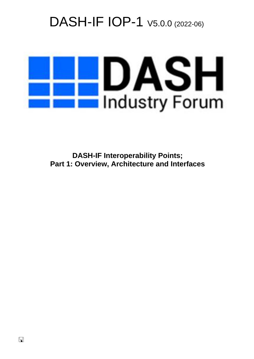# DASH-IF IOP-1  $V5.0.0$  (2022-06)



**DASH-IF Interoperability Points; Part 1: Overview, Architecture and Interfaces**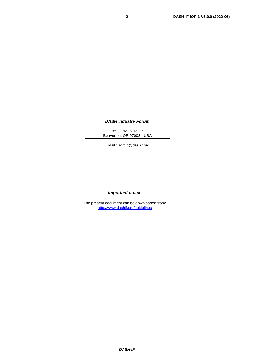#### *DASH Industry Forum*

3855 SW 153rd Dr. Beaverton, OR 97003 - USA

Email : admin@dashif.org

#### *Important notice*

The present document can be downloaded from: <http://www.dashif.org/guidelines>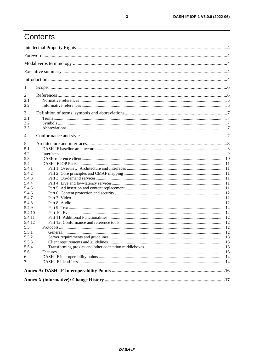# Contents

| 1        |  |
|----------|--|
| 2        |  |
| 2.1      |  |
| 2.2      |  |
| 3        |  |
| 3.1      |  |
| 3.2      |  |
| 3.3      |  |
| 4        |  |
| 5        |  |
| 5.1      |  |
| 5.2      |  |
| 5.3      |  |
| 5.4      |  |
| 5.4.1    |  |
| 5.4.2    |  |
| 5.4.3    |  |
| 5.4.4    |  |
| 5.4.5    |  |
| 5.4.6    |  |
| 5.4.7    |  |
| 5.4.8    |  |
| 5.4.9    |  |
| 5.4.10   |  |
| 5.4.11   |  |
| 5.4.12   |  |
| 5.5      |  |
| 5.5.1    |  |
| 5.5.2    |  |
| 5.5.3    |  |
| 5.5.4    |  |
| 5.6<br>6 |  |
| 7        |  |
|          |  |
|          |  |
|          |  |
|          |  |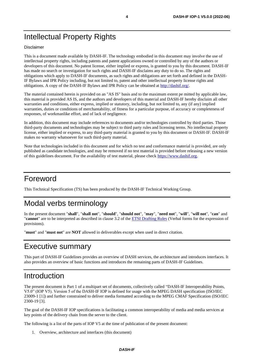# Intellectual Property Rights

#### Disclaimer

This is a document made available by DASH-IF. The technology embodied in this document may involve the use of intellectual property rights, including patents and patent applications owned or controlled by any of the authors or developers of this document. No patent license, either implied or express, is granted to you by this document. DASH-IF has made no search or investigation for such rights and DASH-IF disclaims any duty to do so. The rights and obligations which apply to DASH-IF documents, as such rights and obligations are set forth and defined in the DASH-IF Bylaws and IPR Policy including, but not limited to, patent and other intellectual property license rights and obligations. A copy of the DASH-IF Bylaws and IPR Policy can be obtained at [http://dashif.org/.](http://dashif.org/)

The material contained herein is provided on an "AS IS" basis and to the maximum extent pe mitted by applicable law, this material is provided AS IS, and the authors and developers of this material and DASH-IF hereby disclaim all other warranties and conditions, either express, implied or statutory, including, but not limited to, any (if any) implied warranties, duties or conditions of merchantability, of fitness for a particular purpose, of accuracy or completeness of responses, of workmanlike effort, and of lack of negligence.

In addition, this document may include references to documents and/or technologies controlled by third parties. Those third-party documents and technologies may be subject to third party rules and licensing terms. No intellectual property license, either implied or express, to any third-party material is granted to you by this document or DASH-IF. DASH-IF makes no warranty whatsoever for such third-party material.

Note that technologies included in this document and for which no test and conformance material is provided, are only published as candidate technologies, and may be removed if no test material is provided before releasing a new version of this guidelines document. For the availability of test material, please check [https://www.dashif.org.](https://www.dashif.org/)

# Foreword

This Technical Specification (TS) has been produced by the DASH-IF Technical Working Group.

# Modal verbs terminology

In the present document "**shall**", "**shall not**", "**should**", "**should not**", "**may**", "**need not**", "**will**", "**will not**", "**can**" and "**cannot**" are to be interpreted as described in clause 3.2 of the [ETSI Drafting Rules](https://portal.etsi.org/Services/editHelp!/Howtostart/ETSIDraftingRules.aspx) (Verbal forms for the expression of provisions).

"**must**" and "**must not**" are **NOT** allowed in deliverables except when used in direct citation.

# Executive summary

This part of DASH-IF Guidelines provides an overview of DASH services, the architecture and introduces interfaces. It also provides an overview of basic functions and introduces the remaining parts of DASH-IF Guidelines.

# Introduction

The present document is Part 1 of a multipart set of documents, collectively called "DASH-IF Interoperability Points, V5.0" (IOP V5). Version 5 of the DASH-IF IOP is defined for usage with the MPEG DASH specification (ISO/IEC 23009-1 [\[1\]\)](#page-5-0) and further constrained to deliver media formatted according to the MPEG CMAF Specification (ISO/IEC 2300-19 [\[3\].](#page-5-1)

The goal of the DASH-IF IOP specifications is facilitating a common interoperability of media and media services at key points of the delivery chain from the server to the client.

The following is a list of the parts of IOP V5 at the time of publication of the present document:

1. Overview, architecture and interfaces (this document)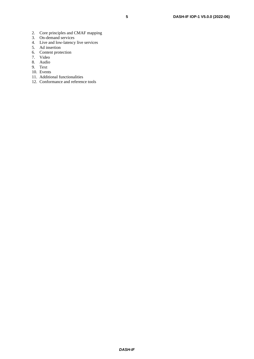- 2. Core principles and CMAF mapping
- 3. On-demand services
- 4. Live and low-latency live services
- 5. Ad insertion
- 6. Content protection
- 7. Video
- 8. Audio
- 9. Text
- 10. Events
- 11. Additional functionalities
- 12. Conformance and reference tools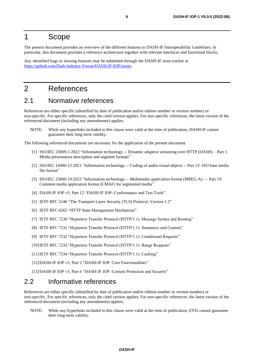# 1 Scope

The present document provides an overview of the different features in DASH-IF Interoperability Guidelines. In particular, this document provides a reference architecture together with relevant interfaces and functional blocks.

Any identified bugs or missing features may be submitted through the DASH-IF issue tracker at [https://github.com/Dash-Industry-Forum/DASH-IF-IOP/](https://github.com/Dash-Industry-Forum/DASH-IF-IOP)issues.

# 2 References

### 2.1 Normative references

References are either specific (identified by date of publication and/or edition number or version number) or non-specific. For specific references, only the cited version applies. For non-specific references, the latest version of the referenced document (including any amendments) applies.

NOTE: While any hyperlinks included in this clause were valid at the time of publication, DASH-IF cannot guarantee their long-term validity.

The following referenced documents are necessary for the application of the present document.

- <span id="page-5-0"></span>[1] ISO/IEC 23009-1:2022 "Information technology -- Dynamic adaptive streaming over HTTP (DASH) – Part 1: Media presentation description and segment formats"
- <span id="page-5-3"></span>[2] ISO/IEC 14496-12:2021 "Information technology -- Coding of audio-visual objects -- Part 12: ISO base media file format"
- <span id="page-5-1"></span>[3] ISO/IEC 23000-19:2022 "Information technology -- Multimedia application format (MPEG-A) — Part 19: Common media application format (CMAF) for segmented media"
- <span id="page-5-2"></span>[4] DASH-IF IOP v5, Part 12 "DASH-IF IOP: Conformance and Test Tools"
- <span id="page-5-11"></span>[5] IETF RFC 5246 "The Transport Layer Security (TLS) Protocol, Version 1.2"
- <span id="page-5-12"></span>[6] IETF RFC 6265 "HTTP State Management Mechanism"
- <span id="page-5-6"></span>[7] IETF RFC 7230 "Hypertext Transfer Protocol (HTTP/1.1): Message Syntax and Routing"
- <span id="page-5-7"></span>[8] IETF RFC 7231 "Hypertext Transfer Protocol (HTTP/1.1): Semantics and Content"
- <span id="page-5-8"></span>[9] IETF RFC 7232 "Hypertext Transfer Protocol (HTTP/1.1): Conditional Requests"
- <span id="page-5-9"></span>[10] IETF RFC 7233 "Hypertext Transfer Protocol (HTTP/1.1): Range Requests"
- <span id="page-5-10"></span>[11]IETF RFC 7234 "Hypertext Transfer Protocol (HTTP/1.1): Caching"
- <span id="page-5-4"></span>[12] DASH-IF IOP v5, Part 2 "DASH-IF IOP: Core Functionalities"
- <span id="page-5-5"></span>[13]DASH-IF IOP v5, Part 6 "DASH-IF IOP: Content Protection and Security"

### 2.2 Informative references

References are either specific (identified by date of publication and/or edition number or version number) or non-specific. For specific references, only the cited version applies. For non-specific references, the latest version of the referenced document (including any amendments) applies.

NOTE: While any hyperlinks included in this clause were valid at the time of publication, ETSI cannot guarantee their long-term validity.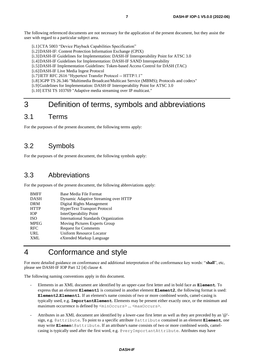The following referenced documents are not necessary for the application of the present document, but they assist the user with regard to a particular subject area.

- [i.1]CTA 5003 "Device Playback Capabilities Specification"
- [i.2]DASH-IF: Content Protection Information Exchange (CPIX)
- [i.3]DASH-IF Guidelines for Implementation: DASH-IF Interoperability Point for ATSC 3.0
- [i.4]DASH-IF Guidelines for Implementation: DASH-IF SAND Interoperability
- [i.5]DASH-IF Implementation Guidelines: Token-based Access Control for DASH (TAC)
- [i.6]DASH-IF Live Media Ingest Protocol
- <span id="page-6-0"></span>[i.7]IETF RFC 2616 "Hypertext Transfer Protocol -- HTTP/1.1"
- <span id="page-6-2"></span>[i.8]3GPP TS 26.346 "Multimedia Broadcast/Multicast Service (MBMS); Protocols and codecs"
- <span id="page-6-1"></span>[i.9] Guidelines for Implementation: DASH-IF Interoperability Point for ATSC 3.0
- <span id="page-6-3"></span>[i.10] ETSI TS 103769 "Adaptive media streaming over IP multicast."

# 3 Definition of terms, symbols and abbreviations

### 3.1 Terms

For the purposes of the present document, the following terms apply:

### 3.2 Symbols

For the purposes of the present document, the following symbols apply:

### 3.3 Abbreviations

For the purposes of the present document, the following abbreviations apply:

| <b>BMFF</b> | Base Media File Format                      |
|-------------|---------------------------------------------|
| <b>DASH</b> | Dynamic Adaptive Streaming over HTTP        |
| <b>DRM</b>  | Digital Rights Management                   |
| <b>HTTP</b> | <b>HyperText Transport Protocol</b>         |
| <b>TOP</b>  | InterOperability Point                      |
| <b>ISO</b>  | <b>International Standards Organization</b> |
| <b>MPEG</b> | Moving Pictures Experts Group               |
| <b>RFC</b>  | <b>Request for Comments</b>                 |
| <b>URL</b>  | Uniform Resource Locator                    |
| XML         | eXtended Markup Language                    |
|             |                                             |

# 4 Conformance and style

For more detailed guidance on conformance and additional interpretation of the conformance key words: "**shall**", etc, please see DASH-IF IOP Part 12 [\[4\]](#page-5-2) clause 4.

The following naming conventions apply in this document.

- Elements in an XML document are identified by an upper-case first letter and in bold face as **Element**. To express that an element **Element1** is contained in another element **Element2**, the following format is used: **Element2.Element1**. If an element's name consists of two or more combined words, camel-casing is typically used, e.g. **ImportantElement**. Elements may be present either exactly once, or the minimum and maximum occurrence is defined by  $\langle \text{minOccurs} \rangle$ ...  $\langle \text{maxOccurs} \rangle$ .
- Attributes in an XML document are identified by a lower-case first letter as well as they are preceded by an '@' sign, e.g. @attribute. To point to a specific attribute @attribute contained in an element **Element**, one may write **Elemen**t@attribute. If an attribute's name consists of two or more combined words, camelcasing is typically used after the first word, e.g. @veryImportantAttribute. Attributes may have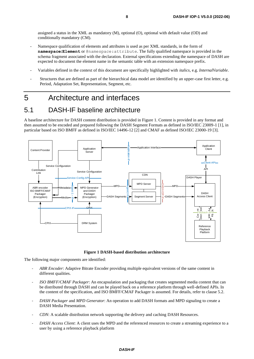assigned a status in the XML as mandatory (M), optional (O), optional with default value (OD) and conditionally mandatory (CM).

- Namespace qualification of elements and attributes is used as per XML standards, in the form of **namespace:Element** or @namespace:attribute. The fully qualified namespace is provided in the schema fragment associated with the declaration. External specifications extending the namespace of DASH are expected to document the element name in the semantic table with an extension namespace prefix.
- Variables defined in the context of this document are specifically highlighted with *italics*, e.g. *InternalVariable*.
- Structures that are defined as part of the hierarchical data model are identified by an upper-case first letter, e.g. Period, Adaptation Set, Representation, Segment, etc.

# 5 Architecture and interfaces

# 5.1 DASH-IF baseline architecture

A baseline architecture for DASH content distribution is provided in Figure 1. Content is provided in any format and then assumed to be encoded and prepared following the DASH Segment Formats as defined in ISO/IEC 23009-1 [\[1\],](#page-5-0) in particular based on ISO BMFF as defined in ISO/IEC 14496-12 [\[2\]](#page-5-3) and CMAF as defined ISO/IEC 23000-1[9 \[3\].](#page-5-1)



**Figure 1 DASH-based distribution architecture**

The following major components are identified:

- *ABR Encoder*: Adaptive Bitrate Encoder providing multiple equivalent versions of the same content in different qualities.
- *ISO BMFF/CMAF Packager*: An encapsulation and packaging that creates segmented media content that can be distributed through DASH and can be played back on a reference platform through well-defined APIs. In the content of the specification, and ISO BMFF/CMAF Packager is assumed. For details, refer to clause 5.2.
- *DASH Packager* and *MPD Generator*: An operation to add DASH formats and MPD signaling to create a DASH Media Presentation.
- *CDN*: A scalable distribution network supporting the delivery and caching DASH Resources.
- *DASH Access Client*: A client uses the MPD and the referenced resources to create a streaming experience to a user by using a reference playback platform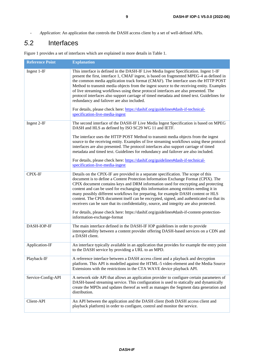*- Application*: An application that controls the DASH access client by a set of well-defined APIs.

# *5*.2 Interfaces

**Reference Point Explanation** Ingest 1-IF This interface is defined in the DASH-IF Live Media Ingest Specification. Ingest 1-IF present the first, interface 1, CMAF ingest, is based on fragmented MPEG-4 as defined in the common media application track format (CMAF). The interface uses the HTTP POST Method to transmit media objects from the ingest source to the receiving entity. Examples of live streaming workflows using these protocol interfaces are also presented. The protocol interfaces also support carriage of timed metadata and timed text. Guidelines for redundancy and failover are also included. For details, please check here: [https://dashif.org/guidelines#dash-if-technical](https://dashif.org/guidelines#dash-if-technical-specification-live-media-ingest)[specification-live-media-ingest](https://dashif.org/guidelines#dash-if-technical-specification-live-media-ingest) Ingest 2-IF The second interface of the DASH-IF Live Media Ingest Specification is based on MPEG DASH and HLS as defined by ISO SC29 WG 11 and IETF. The interface uses the HTTP POST Method to transmit media objects from the ingest source to the receiving entity. Examples of live streaming workflows using these protocol interfaces are also presented. The protocol interfaces also support carriage of timed metadata and timed text. Guidelines for redundancy and failover are also included. For details, please check here: [https://dashif.org/guidelines#dash-if-technical](https://dashif.org/guidelines#dash-if-technical-specification-live-media-ingest)[specification-live-media-ingest](https://dashif.org/guidelines#dash-if-technical-specification-live-media-ingest) CPIX-IF Details on the CPIX-IF are provided in a separate specification. The scope of this document is to define a Content Protection Information Exchange Format (CPIX). The CPIX document contains keys and DRM information used for encrypting and protecting content and can be used for exchanging this information among entities needing it in many possibly different workflows for preparing, for example DASH content or HLS content. The CPIX document itself can be encrypted, signed, and authenticated so that its receivers can be sure that its confidentiality, source, and integrity are also protected. For details, please check here: https://dashif.org/guidelines#dash-if-content-protectioninformation-exchange-format DASH-IOP-IF The main interface defined in the DASH-IF IOP guidelines in order to provide interoperability between a content provider offering DASH-based services on a CDN and a DASH client. Application-IF An interface typically available in an application that provides for example the entry point to the DASH service by providing a URL to an MPD. Playback-IF A reference interface between a DASH access client and a playback and decryption platform. This API is modelled against the HTML-5 video element and the Media Source Extensions with the restrictions in the CTA WAVE device playback API. Service-Config-API A network side API that allows an application provider to configure certain parameters of DASH-based streaming service. This configuration is used to statically and dynamically create the MPDs and updates thereof as well as manages the Segment data generation and distribution.

Figure 1 provides a set of interfaces which are explained in more details in Table 1.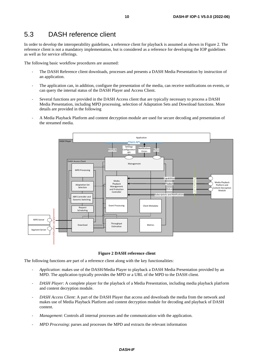# 5.3 DASH reference client

In order to develop the interoperability guidelines, a reference client for playback is assumed as shown in [Figure 2.](#page-9-0) The reference client is not a mandatory implementation, but is considered as a reference for developing the IOP guidelines as well as for service offerings.

The following basic workflow procedures are assumed:

- The DASH Reference client downloads, processes and presents a DASH Media Presentation by instruction of an application.
- The application can, in addition, configure the presentation of the media, can receive notifications on events, or can query the internal status of the DASH Player and Access Client.
- Several functions are provided in the DASH Access client that are typically necessary to process a DASH Media Presentation, including MPD processing, selection of Adaptation Sets and Download functions. More details are provided in the following
- A Media Playback Platform and content decryption module are used for secure decoding and presentation of the streamed media.



#### **Figure 2 DASH reference client**

<span id="page-9-0"></span>The following functions are part of a reference client along with the key functionalities:

- *Application*: makes use of the DASH/Media Player to playback a DASH Media Presentation provided by an MPD. The application typically provides the MPD or a URL of the MPD to the DASH client.
- *DASH Player*: A complete player for the playback of a Media Presentation, including media playback platform and content decryption module.
- *DASH Access Client*: A part of the DASH Player that access and downloads the media from the network and makes use of Media Playback Platform and content decryption module for decoding and playback of DASH content.
- *Management*: Controls all internal processes and the communication with the application.
- *MPD Processing*: parses and processes the MPD and extracts the relevant information

#### *DASH-IF*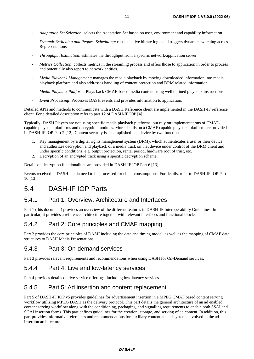- *Adaptation Set Selection*: selects the Adaptation Set based on user, environment and capability information
- *Dynamic Switching and Request Scheduling*: runs adaptive bitrate logic and triggers dynamic switching across Representations
- *Throughput Estimation*: estimates the throughput from a specific network/application server
- *Metrics Collection*: collects metrics in the streaming process and offers those to application in order to process and potentially also report to network entities.
- *Media Playback Management*: manages the media playback by moving downloaded information into media playback platform and also addresses handling of content protection and DRM related information
- *Media Playback Platform*: Plays back CMAF-based media content using well defined playback instructions.
- *Event Processing*: Processes DASH events and provides information to application.

Detailed APIs and methods to communicate with a DASH Reference client are implemented in the DASH-IF reference client. For a detailed description refer to part 12 of DASH-IF IOP [\[4\].](#page-5-2)

Typically, DASH Players are not using specific media playback platforms, but rely on implementations of CMAFcapable playback platforms and decryption modules. More details on a CMAF capable playback platform are provided in DASH-IF IOP Part 2 [\[12\].](#page-5-4) Content security is accomplished in a device by two functions:

- 1. Key management by a digital rights management system (DRM), which authenticates a user or their device and authorizes decryption and playback of a media track on that device under control of the DRM client and under specific conditions, e.g. output protection, rental period, hardware root of trust, etc.
- 2. Decryption of an encrypted track using a specific decryption scheme.

Details on decryption functionalities are provided in DASH-IF IOP Part [6 \[13\].](#page-5-5)

Events received in DASH media need to be processed for client consumptions. For details, refer to DASH-IF IOP Part 10 [\[13\].](#page-5-5)

### 5.4 DASH-IF IOP Parts

#### 5.4.1 Part 1: Overview, Architecture and Interfaces

Part 1 (this document) provides an overview of the different features in DASH-IF Interoperability Guidelines. In particular, it provides a reference architecture together with relevant interfaces and functional blocks.

#### 5.4.2 Part 2: Core principles and CMAF mapping

Part 2 provides the core principles of DASH including the data and timing model, as well as the mapping of CMAF data structures to DASH Media Presentations.

#### 5.4.3 Part 3: On-demand services

Part 3 provides relevant requirements and recommendations when using DASH for On-Demand services.

#### 5.4.4 Part 4: Live and low-latency services

Part 4 provides details on live service offerings, including low-latency services.

#### 5.4.5 Part 5: Ad insertion and content replacement

Part 5 of DASH-IF IOP v5 provides guidelines for advertisement insertion in a MPEG CMAF based content serving workflow utilizing MPEG DASH as the delivery protocol. This part details the general architecture of an ad enabled content serving workflow along with the conditioning, packaging, and signalling requirements to enable both SSAI and SGAI insertion forms. This part defines guidelines for the creation, storage, and serving of ad content. In addition, this part provides informative references and recommendations for auxiliary content and ad systems involved in the ad insertion architecture.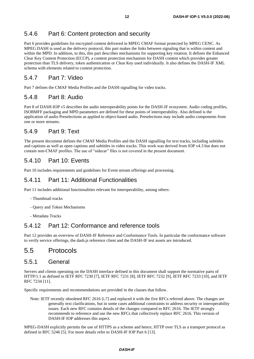### 5.4.6 Part 6: Content protection and security

Part 6 provides guidelines for encrypted content delivered in MPEG CMAF format protected by MPEG CENC. As MPEG DASH is used as the delivery protocol, this part makes the links between signaling that is within content and within the MPD. In addition, to this, this part describes mechanisms for supporting key rotation. It defines the Enhanced Clear Key Content Protection (ECCP), a content protection mechanism for DASH content which provides greater protection than TLS delivery, token authentication or Clear Key used individually. It also defines the DASH-IF XML schema with elements related to content protection.

#### 5.4.7 Part 7: Video

Part 7 defines the CMAF Media Profiles and the DASH signalling for video tracks.

#### 5.4.8 Part 8: Audio

Part 8 of DASH-IOP v5 describes the audio interoperability points for the DASH-IF ecosystem. Audio coding profiles, ISOBMFF packaging and MPD parameters are defined for these points of interoperability. Also defined is the application of audio Preselections as applied to object-based audio. Preselections may include audio components from one or more streams.

### 5.4.9 Part 9: Text

The present document defines the CMAF Media Profiles and the DASH signalling for text tracks, including subtitles and captions as well as open captions and subtitles in video tracks. This work was derived from IOP v4.3 but does not contain non-CMAF profiles. The use of "sidecar" files is not covered in the present document.

### 5.4.10 Part 10: Events

Part 10 includes requirements and guidelines for Event stream offerings and processing.

### 5.4.11 Part 11: Additional Functionalities

Part 11 includes additional functionalities relevant for interoperability, among others:

- Thumbnail tracks
- Query and Token Mechanisms
- Metadata Tracks

### 5.4.12 Part 12: Conformance and reference tools

Part 12 provides an overview of DASH-IF Reference and Conformance Tools. In particular the conformance software to verify service offerings, the dash.js reference client and the DASH-IF test assets are introduced.

# 5.5 Protocols

#### 5.5.1 General

Servers and clients operating on the DASH interface defined in this document shall support the normative parts of HTTP/1.1 as defined in IETF RFC 7230 [\[7\],](#page-5-6) IETF RFC 723[1 \[8\],](#page-5-7) IETF RFC 7232 [\[9\],](#page-5-8) IETF RFC 7233 [\[10\],](#page-5-9) and IETF RFC 723[4 \[11\].](#page-5-10)

Specific requirements and recommendations are provided in the clauses that follow.

Note: IETF recently obsoleted RFC 2616 [\[i.7\]](#page-6-0) and replaced it with the five RFCs referred above. The changes are generally text clarifications, but in some cases additional constraints to address security or interoperability issues. Each new RFC contains details of the changes compared to RFC 2616. The IETF strongly recommends to reference and use the new RFCs that collectively replace RFC 2616. This version of DASH-IF IOP addresses this aspect.

MPEG-DASH explicitly permits the use of HTTPS as a scheme and hence, HTTP over TLS as a transport protocol as defined in RFC 5246 [\[5\].](#page-5-11) For more details refer to DASH-IF IOP Part 6 [\[13\].](#page-5-5)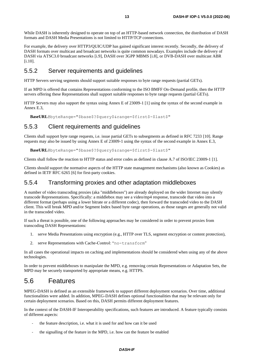While DASH is inherently designed to operate on top of an HTTP-based network connection, the distribution of DASH formats and DASH Media Presentations is not limited to HTTP/TCP connections.

For example, the delivery over HTTP3/QUIC/UDP has gained significant interest recently. Secondly, the delivery of DASH formats over multicast and broadcast networks is quite common nowadays. Examples include the delivery of DASH via ATSC3.0 broadcast network[s \[i.9\],](#page-6-1) DASH over 3GPP MBMS [\[i.8\],](#page-6-2) or DVB-DASH over multicast ABR [\[i.10\].](#page-6-3)

#### 5.5.2 Server requirements and guidelines

HTTP Servers serving segments should support suitable responses to byte range requests (partial GETs).

If an MPD is offered that contains Representations conforming to the ISO BMFF On-Demand profile, then the HTTP servers offering these Representations shall support suitable responses to byte range requests (partial GETs).

HTTP Servers may also support the syntax using Annex E of 23009-1 [\[1\]](#page-5-0) using the syntax of the second example in Annex E.3,

**BaseURL**@byteRange="\$base\$?\$query\$&range=\$first\$-\$last\$"

#### 5.5.3 Client requirements and guidelines

Clients shall support byte range requests, i.e. issue partial GETs to subsegments as defined in RFC 7233 [\[10\].](#page-5-9) Range requests may also be issued by using Annex E of 23009-1 using the syntax of the second example in Annex E.3,

**BaseURL**@byteRange="\$base\$?\$query\$&range=\$first\$-\$last\$"

Clients shall follow the reaction to HTTP status and error codes as defined in clause A.7 of ISO/IEC 23009-1 [\[1\].](#page-5-0)

Clients should support the normative aspects of the HTTP state management mechanisms (also known as Cookies) as defined in IETF RFC 6265 [\[6\]](#page-5-12) for first-party cookies.

#### 5.5.4 Transforming proxies and other adaptation middleboxes

A number of video transcoding proxies (aka "middleboxes") are already deployed on the wider Internet may silently transcode Representations. Specifically: a middlebox may see a video/mp4 response, transcode that video into a different format (perhaps using a lower bitrate or a different codec), then forward the transcoded video to the DASH client. This will break MPD and/or Segment Index based byte range operations, as those ranges are generally not valid in the transcoded video.

If such a threat is possible, one of the following approaches may be considered in order to prevent proxies from transcoding DASH Representations:

- 1. serve Media Presentations using encryption (e.g., HTTP over TLS, segment encryption or content protection),
- 2. serve Representations with Cache-Control: "no-transform"

In all cases the operational impacts on caching and implementations should be considered when using any of the above technologies.

In order to prevent middleboxes to manipulate the MPD, e.g. removing certain Representations or Adaptation Sets, the MPD may be securely transported by appropriate means, e.g. HTTPS.

# 5.6 Features

MPEG-DASH is defined as an extensible framework to support different deployment scenarios. Over time, additional functionalities were added. In addition, MPEG-DASH defines optional functionalities that may be relevant only for certain deployment scenarios. Based on this, DASH permits different deployment features.

In the context of the DASH-IF Interoperability specifications, such features are introduced. A feature typically consists of different aspects:

- the feature description, i.e. what it is used for and how can it be used
- the signalling of the feature in the MPD, i.e. how can the feature be enabled

#### *DASH-IF*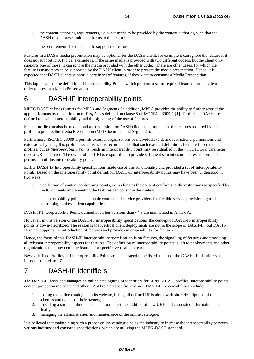- the content authoring requirements, i.e. what needs to be provided by the content authoring such that the DASH media presentation conforms to the feature
- the requirements for the client to support the feature

Features in a DASH media presentation may be optional for the DASH client, for example it can ignore the feature if it does not support it. A typical example is, if the same media is provided with two different codecs, but the client only supports one of those, it can ignore the media provided with the other codec. There are other cases, for which the feature is mandatory to be supported by the DASH client in order to present the media presentation. Hence, it is expected that DASH clients support a certain set of features, if they want to consume a Media Presentation.

This logic leads to the definition of Interoperability Points, which presents a set of required features for the client in order to present a Media Presentation.

# 6 DASH-IF interoperability points

MPEG DASH defines formats for MPDs and Segments. In addition, MPEG provides the ability to further restrict the applied formats by the definition of *Profiles* as defined on clause 8 of ISO/IEC 23009-1 [\[1\].](#page-5-0) Profiles of DASH are defined to enable interoperability and the signaling of the use of features.

Such a profile can also be understood as permission for DASH clients that implement the features required by the profile to process the Media Presentation (MPD document and Segments).

Furthermore, ISO/IEC 23009-1 permits external organizations or individuals to define restrictions, permissions and extensions by using this profile mechanism. It is recommended that such external definitions be not referred to as profiles, but as *Interoperability Points*. Such an interoperability point may be signalled in the @profiles parameter once a URI is defined. The owner of the URI is responsible to provide sufficient semantics on the restrictions and permission of this interoperability point.

Earlier DASH-IF Interoperability specifications made use of this functionality and provided a set of Interoperability Points. Based on the interoperability point definition, DASH-IF interoperability points may have been understood in two ways:

- a collection of content conforming points, i.e. as long as the content conforms to the restrictions as specified by the IOP, clients implementing the features can consume the content.
- a client capability points that enable content and service providers for flexible service provisioning to clients conforming to these client capabilities.

DASH-IF Interoperability Points defined in earlier versions than v4.3 are maintained in Annex A.

However, in this version of the DASH-IF interoperability specifications, the concept of DASH-IF interoperability points is down-prioritized. The reason is that vertical client deployments are not in the scope of DASH-IF, but DASH-IF rather supports the introduction of features and provides interoperability for features.

Hence, the focus of this DASH-IF Interoperability specification is on features, the signalling of features and providing all relevant interoperability aspects for features. The definition of interoperability points is left to deployments and other organizations that may combine features for specific vertical deployments.

Newly defined Profiles and Interoperability Points are encouraged to be listed as part of the DASH-IF Identifiers as introduced in clause 7.

# 7 DASH-IF Identifiers

The DASH-IF hosts and manages an online cataloguing of identifiers for MPEG-DASH profiles, interoperability points, content protection metadata and other DASH related specific schemes. DASH-IF responsibilities include:

- 1. hosting the online catalogue on its website, listing all defined URIs along with short descriptions of their schemes and names of their owners,
- 2. providing a simple online mechanism to request the addition of new URIs and associated information, and finally
- 3. managing the administration and maintenance of the online catalogue.

It is believed that maintaining such a proper online catalogue helps the industry to increase the interoperability between various industry and consortia specifications, which are utilizing the MPEG-DASH standard.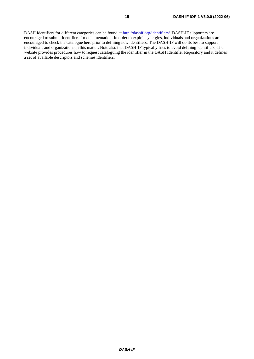DASH Identifiers for different categories can be found at [http://dashif.org/identifiers/.](http://dashif.org/identifiers/) DASH-IF supporters are encouraged to submit identifiers for documentation. In order to exploit synergies, individuals and organizations are encouraged to check the catalogue here prior to defining new identifiers. The DASH-IF will do its best to support individuals and organizations in this matter. Note also that DASH-IF typically tries to avoid defining identifiers. The website provides procedures how to request cataloguing the identifier in the DASH Identifier Repository and it defines a set of available descriptors and schemes identifiers.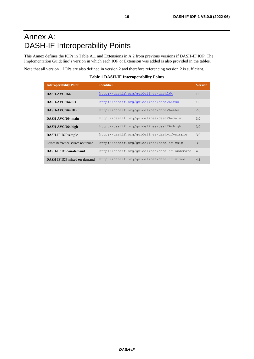# Annex A: DASH-IF Interoperability Points

This Annex defines the IOPs in Table A.1 and Extensions in A.2 from previous versions if DASH-IF IOP. The Implementation Guideline's version in which each IOP or Extension was added is also provided in the tables.

Note that all version 1 IOPs are also defined in version 2 and therefore referencing version 2 is sufficient.

**Table 1 DASH-IF Interoperability Points**

| <b>Interoperability Point</b>      | <b>Identifier</b>                             | <b>Version</b> |
|------------------------------------|-----------------------------------------------|----------------|
| DASH-AVC/264                       | http://dashif.org/quidelines/dash264          | 1.0            |
| DASH-AVC/264 SD                    | http://dashif.org/guidelines/dash264#sd       | 1.0            |
| DASH-AVC/264 HD                    | http://dashif.org/quidelines/dash264#hd       | 2.0            |
| DASH-AVC/264 main                  | http://dashif.org/quidelines/dash264main      | 3.0            |
| DASH-AVC/264 high                  | http://dashif.org/guidelines/dash264high      | 3.0            |
| <b>DASH-IF IOP simple</b>          | http://dashif.org/quidelines/dash-if-simple   | 3.0            |
| Error! Reference source not found. | http://dashif.org/quidelines/dash-if-main     | 3.0            |
| <b>DASH-IF IOP on-demand</b>       | http://dashif.org/quidelines/dash-if-ondemand | 4.3            |
| <b>DASH-IF IOP mixed on-demand</b> | http://dashif.org/guidelines/dash-if-mixed    | 4.3            |